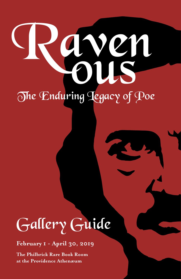# Payen The Enduring Legacy of Poe

## Gallery Guide

**February 1 - April 30, 2019**

**The Philbrick Rare Book Room at the Providence Athenæum**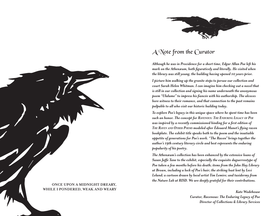

## A Note from the Curator

*Although he was in Providence for a short time, Edgar Allan Poe left his mark on the Athenæum, both figuratively and literally. He visited when the library was still young, the building having opened 10 years prior.*

*I picture him walking up the granite steps to peruse our collection and court Sarah Helen Whitman. I can imagine him checking out a novel that is still in our collection and signing his name underneath the anonymous poem "Ulalume" to impress his fiancée with his authorship. The alcoves bore witness to their romance, and that connection to the past remains palpable to all who visit our historic building today.*

*To explore Poe's legacy in this unique space where he spent time has been such an honor. The concept for Ravenous: The Enduring Legacy of Poe was inspired by a recently commissioned binding for a first edition of The Raven and Other Poems modeled after Édouard Manet's flying raven bookplate. The exhibit title speaks both to the poem and the insatiable appetite of generations for Poe's work. "The Raven" brings together the author's 19th century literary circle and best represents the enduring popularity of his poetry.*

*The Athenæum's collection has been enhanced by the extensive loans of Susan Jaffe Tane to the exhibit, especially the exquisite daguerreotype of Poe taken a few months before his death; items from the John Hay Library at Brown, including a lock of Poe's hair; the striking bust lent by Levi Leland; a cartoon drawn by local artist Tim Lemire; and taxidermy from the Nature Lab at RISD. We are deeply grateful for their contributions.*

> *Kate Wodehouse Curator, Ravenous: The Enduring Legacy of Poe Director of Collections & Library Services*

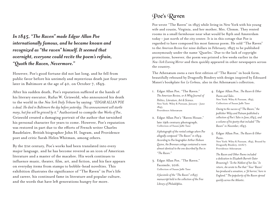*In 1845, "The Raven" made Edgar Allan Poe internationally famous, and he became known and recognized as "the raven" himself. It seemed that overnight, everyone could recite the poem's refrain, "Quoth the Raven, Nevermore."* 

However, Poe's good fortune did not last long, and he fell from public favor before his untimely and mysterious death just four years later in Baltimore at the age of 40, on October 7, 1849.

After his sudden death, Poe's reputation suffered at the hands of his literary executor, Rufus W. Griswold, who announced his death to the world in the *New York Daily Tribune* by saying: *"EDGAR ALLAN POE is dead. He died in Baltimore the day before yesterday. This announcement will startle many, but few will be grieved by it."* Authorized to compile the *Works of Poe*, Griswold created a damaging portrait of the author that tarnished his personal character for years to come. However, Poe's reputation was restored in part due to the efforts of French writer Charles Baudelaire, British biographer John H. Ingram, and Providence poet and critic Sarah Helen Whitman, among others.

By the 21st century, Poe's works had been translated into every major language, and he has become revered as an icon of American literature and a master of the macabre. His work continues to influence music, theater, film, art, and fiction, and his face appears on everyday items from stamps to bobble-head novelties. This exhibition illustrates the significance of "The Raven" in Poe's life and career, his continued fame in literature and popular culture, and the words that have left generations hungry for more.

## Poe's Raven

Poe wrote "The Raven" in 1845 while living in New York with his young wife and cousin, Virginia, and her mother, Mrs. Clemm. They rented rooms in a small farmhouse near what would be 84th and Amsterdam today – just north of the city center. It is in this cottage that Poe is regarded to have composed his most famous poem. He sold "The Raven" to the *American Review* for nine dollars in February, 1845 to be published anonymously under the name 'Quarles.' Due to the lack of copyright protections, however, the poem was printed a few weeks earlier in the *New-York Evening Mirror* and then quickly appeared in other newspapers across the country.

The Athenæum owns a rare first edition of "The Raven" in book form, beautifully rebound by Dragonfly Bindery with design inspired by Édouard Manet's bookplate for *Le Corbeau*, also in the Athenæum's collection.

- 1. Edgar Allan Poe, "The Raven." *The American Review, or A Whig Journal of Politics, Literature, Art & Science.* New York: Wiley & Putnam, January - June 1845. Providence Athenæum
- 2. Edgar Allan Poe's "Raven House," late 19th century photograph. Collection of Susan Jaffe Tane

*A photograph of the rented cottage where Poe allegedly composed "The Raven" in 1844. According to Poe biographer Arthur Hobson Quinn, the Brennan cottage contained a room almost identical to the one described by Poe in "The Raven."*

3. Edgar Allan Poe, "The Raven." Facsimile, 2016. Collection of Susan Jaffe Tane

*A facsimile of the "The Raven" c1845 manuscript held in the collection of the Free Library of Philadelphia.*

4. Edgar Allan Poe, *The Raven & Other Poems and Tales*. New York: Wiley & Putnam, 1845. Collection of Susan Jaffe Tane

> *Owing to the success of "The Raven," the publisher Wiley and Putnam published a collection of Poe's Tales in June,1845, and a volume of his poetry that included "The Raven" in November, 1845.*

5. Edgar Allan Poe, *The Raven & Other Poems*. New York: Wiley & Putnam, 1845. Bound by Dragonfly Bindery, 2016/7. Providence Athenæum

*The Raven and Other Poems included a dedication to Elizabeth Barrett (later Browning): 'To the Noblest of her Sex.' In return, she wrote to Poe that "Your 'Raven' has produced a sensation, a 'fit horror,' here in England." The popularity of the Raven spread quickly across the Atlantic.*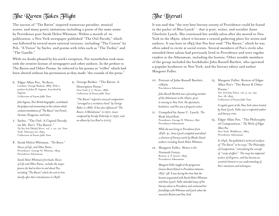## The Raven Takes Flight

The success of "The Raven" inspired numerous parodies, musical scores, and many poetic imitations including a poem of the same name by Providence poet Sarah Helen Whitman. Within a month of its publication, a New York newspaper published "The Owl Parody," which was followed by several more satirical versions, including "The Craven" by Poh, "A Vision" by Sarles, and poems with titles such as "The Turkey" and "The Gazelle."

While no doubt pleased by his work's reception, Poe nonetheless took issue with the creative license of newspapers and other authors. In the preface to The Raven and Other Poems, he referred to his poems as "trifles" which had been altered without his permission as they made "the rounds of the press."

6. Edgar Allan Poe, *The Raven*. London: George Redway, 1885. With a preface by John H. Ingram. Inscribed by Ingram. Collection of Susan Jaffe Tane

*John Ingram, Poe's British biographer, contributed the preface and commentary to this volume which contains translations of "The Raven" into French, German, Hungarian, and Latin.* 

- 7. Sarles, "The Owl: A Capital Parody on Mr. Poe's 'The Raven'." *The New York [Weekly] Mirror*, vol. 1, no. 20. New York, February 22, 1845. Collection of Susan Jaffe Tane
- 8. Sarah Helen Whitman, *"The Raven,"*

*Hours of Life, and Other Poems*. Providence: George H. Whitney, 1853. Providence Athenæum

*Sarah Helen Whitman's first book, Hours of Life and Other Poems, includes the major poems she had written to and about Poe, including "The Raven" which she sent to him shortly after their introduction in 1848.*

9. George Barker. "The Raven: A Descriptive Poem." New York: J. L. Peters, 1866. Collection of Susan Jaffe Tane

*"The Raven" inspired a musical composition "arranged as a recitative chant" by George Baker in 1866. It has also influenced "The Raven: A Melodrama" in 1910, music composed by Arcady Dubensky in 1932, and an album by Lou Reed in 2003.*

## **The Jiterati**

It was said that "the very best literary society of Providence could be found in the parlor of Miss Lynch" - that is poet, writer, and socialite Anne Charlotte Lynch. She continued her weekly salon after she moved to New York in the 1840s, where it became a central gathering place for artists and authors. It was here in 1845 that Poe first read "The Raven," which he was often asked to recite at social events. Several members of Poe's circle who attended these salons had previously lived in Providence and were regular readers at the Athenæum, including the hostess. Other notable members of the group included the bookdealer John Russell Bartlett, who operated a popular bookstore in New York, and the literary editor and author Margaret Fuller.

10. Portrait of John Russell Bartlett, c1830s Providence Athenæum

> *John Russell Bartlett was a founding member of the Athenæum in the 1830s, prior to moving to New York. He operated a bookstore, and Poe was a frequent visitor.*

11. Compiled by Anne C. Lynch, *The Rhode Island Book*. Providence: George H. Whitney, 1841. Providence Athenæum

> *While she was living in Providence from 1838-41, Anne Lynch compiled and edited a selection of literary works by Rhode Island authors including Sarah Helen Whitman.*

12. Margaret Fuller, *Women in the Nineteenth Century*. Boston: J. P. Jewett, 1855. Providence Athenæum

> *Margaret Fuller taught at the progressive Greene Street School in Providence between 1837-38. It was during this time that she became acquainted with Sarah Helen Whitman and Anne Lynch. Fuller attended many of the literary salons in Providence and continued her friendships with Whitman and Lynch when she moved to Boston and New York.*

13. Margaret Fuller, Review of Edgar Allan Poe's "The Raven & Other Poems." *New-York Daily Tribune*, vol. 5, no. 197, Nov. 18, 1845. Collection of Susan Jaffe Tane

> *A regular guest at the New York salons hosted by Anne Lynch, Fuller was a respected author and literary critic.*

14. Edgar Allan Poe, "The Philosophy of Composition," *The Works of Edgar Allan Poe.* New York: Widdleton, 1863. Providence Athenæum

> *In 1846, Poe published a technical analysis of "The Raven" in his essay "The Philosophy of Composition," articulating the concept of "unity of effect." The essay has impacted writers of all genres, and has become an essential element in our understanding of Poe's intentions and techniques.*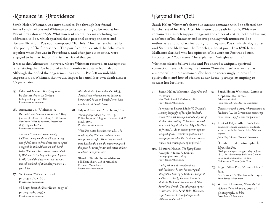## Romance in Providence

Sarah Helen Whitman was introduced to Poe through her friend Anne Lynch, who asked Whitman to write something to be read at her Valentine's salon in 1848. Whitman sent several poems including one addressed to Poe, which sparked their personal correspondence and literary flirtation. Poe soon composed "To Helen" for her, enchanted by "the poetry of [her] presence." The pair frequently visited the Athenæum together when Poe was in Providence, and after just six months, were engaged to be married on Christmas Day of that year.

It was at the Athenæum, however, where Whitman received an anonymous letter stating that Poe had broken his promise to abstain from alcohol. Although she ended the engagement as a result, Poe left an indelible impression on Whitman that would impact her until her own death almost 30 years later.

- 15. Édouard Manet, *The Flying Raven*  bookplate from *Le Corbeau.* Lithographic print, 1875. Providence Athenæum
- 16. Anonymous, "Ulalume: A Ballad." *The American Review, or A Whig Journal of Politics, Literature, Art & Science.* New York: Wiley & Putnam, December 1847. Signed by Poe. Providence Athenæum
	- *The poem "Ulalume" was originally published anonymously, and it was during one of Poe's visits to Providence that he signed a copy while at the Athenæum with Sarah Helen Whitman. This account was recalled by Whitman to Poe biographer John Ingram in 1874, and she discovered that the book was still on the shelf at the library almost 25 years later.*
- 17. *Sarah Helen Whitman*, copy of photograph, c1860. Providence Athenæum

*76 Benefit Street, the Power House*, copy of photograph, c1950. Providence Athenæum

*After the death of her husband in 1833, Sarah Helen Whitman moved back in to her mother's house on Benefit Street. Now numbered 88 Benefit Street.*

18. Edgar Allan Poe, "To Helen," *The Works of Edgar Allan Poe*, vol. 3. Edited by John H. Ingram. London: A & C Black, 1899. Providence Athenæum

> *When Poe visited Providence in 1845, he caught sight of Whitman walking in her rose garden at night. While they were not introduced at the time, the memory inspired this poem he wrote for her at the start of their courtship three years later.*

Shawl of Sarah Helen Whitman. Silk blend shawl. Gift of Mrs. Eliot Freeman Macartney. Providence Athenæum

## Beyond the Veil

Sarah Helen Whitman's short but intense romance with Poe affected her for the rest of her life. After his mysterious death in 1849, Whitman remained a staunch supporter against the voices of critics, both publishing a defense of his character and corresponding with numerous Poe enthusiasts and scholars including John Ingram, Poe's British biographer, and Stéphane Mallarmé, the French symbolist poet. In a 1876 letter, Mallarmé clarified why her opinion of his work on Poe was of such importance: "Your name," he explained, "mingles with his."

Whitman clearly believed she and Poe shared a uniquely spiritual connection, even claiming the famous "Annabel Lee" was written as a memorial to their romance. She became increasingly interested in spiritualism and hosted séances at her home, perhaps attempting to contact her lost love.

19. Sarah Helen Whitman, *Edgar Poe and His Critics.* New York: Rudd & Carleton, 1860. Providence Athenæum

> *In response to Reverend Rufus W. Griswold's scathing biography of Poe after his death, Sarah Helen Whitman published a defense of his character, writing, "It has been assumed by a recent English critic that Edgar Poe 'had no friends.' ... As an earnest protest against the spirit of Dr. Griswold's unjust memoir, these pages are submitted to his more candid readers and critics by one of his friends."*

20. Édouard Manet, *The Flying Raven*  bookplate from *Le Corbeau.* Lithographic print, 1875. Providence Athenæum

> *During Whitman's correspondence with Mallarmé, he sent her an original lithographic print of Le Corbeau. The print had been created by Édouard Manet to illustrate Mallarmé's translation of "The Raven"into French. The lithographic print is inscribed, "Mrs. Sarah Helen Whitman, respectueusement et sympathiquement, Stéphane Mallarmé."*

21. Sarah Helen Whitman, Letter to Stéphane Mallarmé. February 6, 1876 John Hay Library, Brown University

> *Upon receiving this print, Whitman wrote to Mallarmé "... the Corbeau has become my room-mate - my fire side companion."*

22. Lock of Edgar Allan Poe's hair. Exact provenance unknown, but likely acquired with the Sarah Helen Whitman papers.

John Hay Library, Brown University

[Unidentified photographer],

*Edgar Allan Poe*. Sixth plate daguerreotype, May or June 1849. Possibly owned by Maria Clemm, Poe's aunt and mother-in-law. Collection of Susan Jaffe Tane

- 23. Edgar Allan Poe, "Annabel Lee," *Poems*. East Aurora, NY: The Roycrofters, 1901. Providence Athenæum
- 24. William Coleman, *Séance Portrait of Sarah Helen Whitman*, copy of photograph, c1860. Providence Athenæum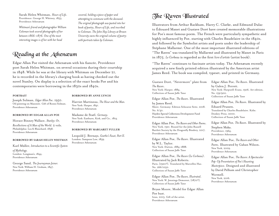Sarah Helen Whitman, *Hours of Life*. Providence: George H. Whitney, 1853. Providence Athenæum

*Whitman's friend and photographer William Coleman took several photographs of her between 1866-1876. One of the most interesting images is of her with her head* 

Reading at the Athenæum

Edgar Allan Poe visited the Athenæum with his fiancée, Providence poet Sarah Helen Whitman, on several occasions during their courtship in 1848. While he was at the library with Whitman on December 21, he is recorded in the library's charging book as having checked out the novel Stanley. On display is a selection of the exact books Poe and his contemporaries were borrowing in the 1830s and 1840s.

#### **PORTRAIT**

Joseph Solman, *Edgar Allan Poe*. 1950. Oil painting on Masonite. Gift of Ronni Solman. Providence Athenæum

#### **BORROWED BY EDGAR ALLAN POE**

Horace Binney Wallace, *Stanley: Or,* 

*Recollections of A Man of the World.* 2 vols. Philadelphia: Lea & Blanchard, 1838. Providence Athenæum

#### **BORROWED BY SARAH HELEN WHITMAN**

Karl Müller, *Introduction to a Scientific System* 

*of Mythology.* London: Longman's, 1844. Providence Athenæum

George Sand, *The Journeyman Joiner.*  New York: William H. Graham, 1847. Providence Athenæum

#### **BORROWED BY ANNE LYNCH**

Harriet Martineau, *The Hour and the Man.*  New York: Harper, 1841. Providence Athenæum

*covered, holding a piece of paper and attempting to commune with the deceased. The original photograph was pasted into her book of poetry, Hours of Life, and inscribed to Coleman. The John Hay Library at Brown University owns the original volume of poetry* 

*with portraits taken by Coleman.*

Madame de Staël, *Germany.* New York: Eastburn, Kirk, and Co., 1814. Providence Athenæum

#### **BORROWED BY MARGARET FULLER**

Leopold J. Bernays, *Goethe's Faust, Part II.* London: Sampson Low, 1839. Providence Athenæum

#### The Raven Illustrated

Illustrators from Arthur Rackham, Harry C. Clarke, and Edmund Dulac to Édouard Manet and Gustave Doré have created memorable illustrations for Poe's most famous poem. The French were particularly sympathetic and highly influenced by Poe, starting with Charles Baudelaire in the 1840s, and followed by the Symbolist artists and poets under the leadership of Stéphane Mallarmé. One of the most important illustrated editions of "The Raven" was translated by Mallarmé and illustrated by Manet in Paris in 1875. *Le Corbeau* is regarded as the first *livre d'artiste* (artist book).

"The Raven" continues to fascinate artists today. The Athenæum recently acquired a new finely printed edition illustrated by the American artist James Reed. The book was compiled, typeset, and printed in Germany.

Gustave Doré, "Nevermore" plate from *The Raven*. New York: Harper, 1884. Collection of Susan Jaffe Tane

Edgar Allan Poe, *The Raven*. Illustrated

by James Reed. Sheer, Germany: Edition Schwarze Seite, 2018. No. 6/30. Hayden Special Collections Development Fund Providence Athenæum

Edgar Allan Poe, *The Raven and Other Poems*. New York, 1921. Bound for the John Russell Bartlett Society by the Dragonfly Bindery, 2017. Providence Athenæum

Edgar Allan Poe, *The Raven*. Illustrated by W.L. Taylor. New York: Dutton, 1884-1888. Collection of Susan Jaffe Tane

Edgar Allan Poe, *The Raven (Le Corbeau)*. Illustrated by Jack Roberts. Paris, [1920?]. Translated by Marcellin Huc. No. 266/1050. Collection of Susan Jaffe Tane

Edgar Allan Poe, *The Raven, Illustrated*. New York: W. Jennings Demorest, [1870?]. Collection of Susan Jaffe Tane

Bryan Moore, Model for Edgar Allan Poe bust. Iowa, 2013. Gift of the artist. Providence Athenæum

Edgar Allan Poe, *The Raven*. Illustrated by Galen J. Perrett. New York: Harpwell-Evans, 1906. Art edition, No. 159/900. Collection of Susan Jaffe Tane

Edgar Allan Poe, *The Raven*. Illustrated by

Eduard Prussen. Translated by Charles Baudelaire. Köln: Donkey-Press, 2000. Collection of Susan Jaffe Tane

Edgar Allan Poe, *The Raven*. Illustrated by

Stephen Maka. Providence, 1964. Providence Athenæum

Edgar Allan Poe, *The Raven and Other Poems*. Illustrated by Gahan Wilson. New York, 2009. Providence Athenæum

Edgar Allan Poe, *The Raven: A Spectacular Pop-Up Presentation of Poe's Haunting Masterpiece*. Designed and illustrated by David Pelham and Christopher Wormell.

New York, 2016. Providence Athenæum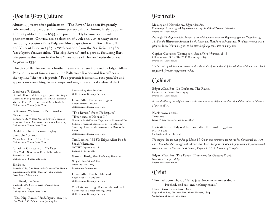## Poe in Pop Culture

Almost 175 years after publication, "The Raven" has been frequently referenced and parodied in contemporary culture. Immediately popular after its publication in 1845, the poem quickly became a cultural phenomenon. On view are a selection of 20th and 21st century items including a poster of the Belgium film adaptation with Boris Karloff and Vincent Price in 1965; a 2016 cartoon from the *New Yorker*; a 1960 *Mad Magazine* feature titled "The Hip Raven;" and a parody featuring Bart Simpson as the raven in the first "Treehouse of Horror" episode of *The Simpsons* in 1990.

The city of Baltimore has a football team and a beer inspired by Edgar Allan Poe and his most famous work: the Baltimore Ravens and RavenBeer with the tag line "the taste is poetic." Poe's portrait is instantly recognizable and appears on everything from stamps and mugs to even a skateboard deck.

*Le corbeau [The Raven]*. G.n.ral Films, [1965?]. Belgian poster for Roger Corman's 1963 production of *The Raven*, starring Vincent Price, Peter Lorre, and Boris Karloff. Collection of Susan Jaffe Tane

Baltimore-Washington Beer Works, "Raven Beer."

Baltimore: B. W. Beer Works, [1998?]. Framed set of two Raven Beer coasters and one bottlecap. Collection of Susan Jaffe Tane

David Borchart. "Raven playing Scrabble," cartoon. *The New Yorker*, June 6 & 13, 2016. Collection of Susan Jaffe Tane

Jonathan Christenson, *The Raven*. [New York]: Nevermore Records/Broadway Records, 2016. Collection of Susan Jaffe Tane

*The Raven*. Beverly Hills, CA: Twentieth Century Fox Home Entertainment, 2012. Starring John Cusack. Providence Athenæum

Lou Reed, *The Raven*. Burbank, CA: Sire/Reprise (Warner Bros. Records), 2003. Collection of Susan Jaffe Tane

"The 'Hip' Raven," *Mad Magazine*, no. 55. New York: E.C. Publications, June 1960.

Illustrated by Mort Drucker. Collection of Susan Jaffe Tane

Edgar Allan Poe action figure Accouterments, c2004. Collection of Susan Jaffe Tane

"The Raven," from *The Simpsons'*  "Treehouse of Horror I." Tempe, AZ: McFarlane Toys, 2007. Playset of *The Simpson's* irreverent adaptation of "The Raven," featuring Homer as the narrator and Bart as the Raven. Collection of Susan Jaffe Tane

Tim Lemire, "FEST: Edgar Allan Poe & Sarah Whitman." MOTIF Magazine, 2018. Loaned by the artist.

Gareth Hinds, *Poe: Stories and Poems. A* 

*Graphic Novel Adaptation*. Massachusetts, 2017. Providence Athenæum

Edgar Allan Poe bobblehead. Royal Bobbles, 2012/2013. Collection of Susan Jaffe Tane

Vu Skateboarding, Poe skateboard deck. Baltimore: Vu Skateboarding, 2014. Collection of Susan Jaffe Tane

## Portraits

Masury and Hartshorn, *Edgar Allan Poe.* Photograph from original daguerreotype, c1906. Gift of Brown University. Providence Athenæum

*Poe sat for this daguerreotype, known as the Whitman or Hartshorn Daguerreotype, on November 13, 1848 at the Westminster Street studio of Masury and Hartshorn in Providence. The daguerreotype was a gift from Poe to Whitman, given to her after she finally consented to marry him.* 

Cephas Giovanni Thompson, *Sarah Helen Whitman*, 1838. Oil on canvas. Gift of Dr. W. F. Channing, 1884. Providence Athenæum

*The portrait of Whitman was executed after the death of her husband, John Winslow Whitman, and about ten years before her engagement to Poe.*

## Cabinet

Edgar Allan Poe, Le Corbeau, The Raven. Connecticut: Easton Press, 1995. Providence Athenæum

*A reproduction of the original livre d'artiste translated by Stéphane Mallarmé and illustrated by Édouard Manet in 1875.* 

Black crow, 2006. Taxidermy. Edna W. Lawrence Nature Lab, RISD

Portrait bust of Edgar Allan Poe, after Edmund T. Quinn. Plaster. 2012. Collection of Levi Leland

*The original bronze bust of Poe by Edmund T. Quinn was commissioned for the Poe Centennial in 1909, and is located at Poe Cottage in the Bronx, New York. The plaster bust on display was made from a model created by the Poe Museum in Richmond, Virginia in 2012. It is one of 12 copies.* 

Edgar Allan Poe, The Raven. Illustrated by Gustave Doré. New York: Harper, 1884. Providence Athenæum

## Print

"Perched upon a bust of Pallas just above my chamber door-Perched, and sat, and nothing more." Illustration by Gustave Doré. Edgar Allan Poe, *The Raven*. New York: Harper, 1884. Collection of Susan Jaffe Tane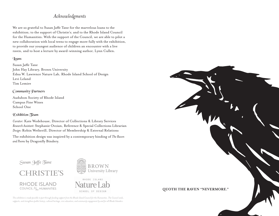#### *Acknowledgments*

We are so grateful to Susan Jaffe Tane for the marvelous loans to the exhibition; to the support of Christie's; and to the Rhode Island Council for the Humanities. With the support of the Council, we are able to pilot a new collaboration with local teens to engage more fully with the exhibition, to provide our youngest audience of children an encounter with a live raven, and to host a lecture by award-winning author, Lynn Cullen.

#### **Toans**

Susan Jaffe Tane John Hay Library, Brown University Edna W. Lawrence Nature Lab, Rhode Island School of Design Levi Leland Tim Lemire

#### Community Partners

Audubon Society of Rhode Island Campus Fine Wines School One

#### $\mathbb{E}$ xhibition  $\mathfrak{I}$ eam

*Curator:* Kate Wodehouse, Director of Collections & Library Services *Research Assistant:* Stephanie Ovoian, Reference & Special Collections Librarian *Design:* Robin Wetherill, Director of Membership & External Relations

The exhibition design was inspired by a contemporary binding of *The Raven and Poems* by Dragonfly Bindery.

Susan Jaffe Tane

**RHODE ISLAND** COUNCIL  $f_{the}^{or}$  HUMANITIES





*This exhibition is made possible in part through funding support from the Rhode Island Council for the Humanities. The Council seeds, supports, and strengthens public history, cultural heritage, civic education, and community engagement by and for all Rhode Islanders.*

**QUOTH THE RAVEN "NEVERMORE."**